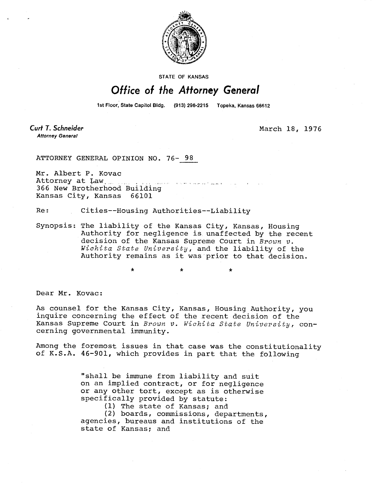

**STATE OF KANSAS** 

## Office of the Attorney General

1st Floor, State Capitol Bldg. (913) 296-2215 Topeka, Kansas 66612

Curt T. Schneider **Attorney General** 

March 18, 1976

ATTORNEY GENERAL OPINION NO. 76- 98

Mr. Albert P. Kovac Attorney at Law, 366 New Brotherhood Building Kansas City, Kansas 66101

Re: Cities--Housing Authorities--Liability

Synopsis: The liability of the Kansas City, Kansas, Housing Authority for negligence is unaffected by the recent decision of the Kansas Supreme Court in Brown v. Wichita State University, and the liability of the Authority remains as it was prior to that decision.

Dear Mr. Kovac:

As counsel for the Kansas City, Kansas, Housing Authority, you inquire concerning the effect of the recent decision of the Kansas Supreme Court in Brown v. Wichita State University, concerning governmental immunity.

Among the foremost issues in that case was the constitutionality of K.S.A. 46-901, which provides in part that the following

> "shall be immune from liability and suit on an implied contract, or for negligence or any other tort, except as is otherwise specifically provided by statute:

> > (1) The state of Kansas; and

(2) boards, commissions, departments, agencies, bureaus and institutions of the state of Kansas; and